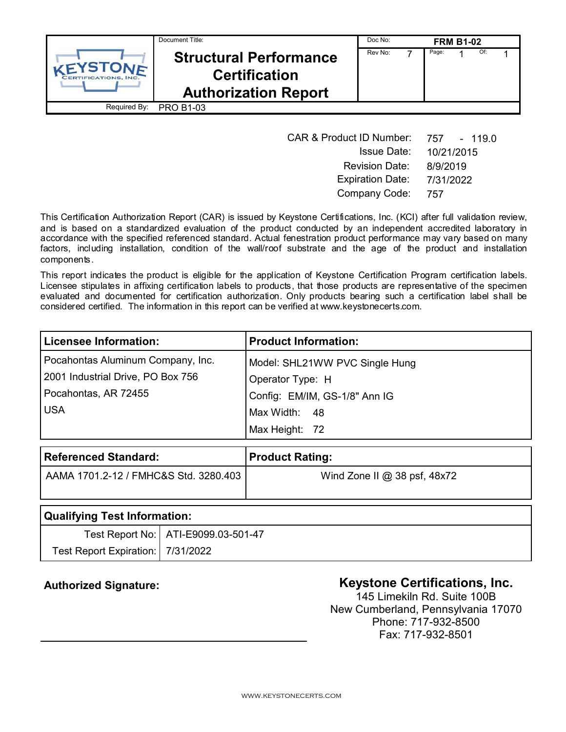| Document Title:                       |                                                                                      | Doc No: | <b>FRM B1-02</b> |       |  |     |  |
|---------------------------------------|--------------------------------------------------------------------------------------|---------|------------------|-------|--|-----|--|
| VEYSTONE<br><b>RTIFICATIONS, INC.</b> | <b>Structural Performance</b><br><b>Certification</b><br><b>Authorization Report</b> | Rev No: |                  | Page: |  | Of: |  |
| Required By:                          | <b>PRO B1-03</b>                                                                     |         |                  |       |  |     |  |

| <b>CAR &amp; Product ID Number:</b> | 757 - 119.0 |
|-------------------------------------|-------------|
| <b>Issue Date:</b>                  | 10/21/2015  |
| <b>Revision Date:</b>               | 8/9/2019    |
| <b>Expiration Date:</b>             | 7/31/2022   |
| Company Code:                       | 757         |

This Certification Authorization Report (CAR) is issued by Keystone Certifications, Inc. (KCI) after full validation review, and is based on a standardized evaluation of the product conducted by an independent accredited laboratory in accordance with the specified referenced standard. Actual fenestration product performance may vary based on many factors, including installation, condition of the wall/roof substrate and the age of the product and installation components.

This report indicates the product is eligible for the application of Keystone Certification Program certification labels. Licensee stipulates in affixing certification labels to products, that those products are representative of the specimen evaluated and documented for certification authorization. Only products bearing such a certification label shall be considered certified. The information in this report can be verified at www.keystonecerts.com.

| Licensee Information:             | <b>Product Information:</b>    |
|-----------------------------------|--------------------------------|
| Pocahontas Aluminum Company, Inc. | Model: SHL21WW PVC Single Hung |
| 2001 Industrial Drive, PO Box 756 | Operator Type: H               |
| Pocahontas, AR 72455              | Config: EM/IM, GS-1/8" Ann IG  |
| <b>USA</b>                        | Max Width: 48                  |
|                                   | Max Height: 72                 |

| <b>Referenced Standard:</b>           | <b>Product Rating:</b>        |
|---------------------------------------|-------------------------------|
| AAMA 1701.2-12 / FMHC&S Std. 3280.403 | Wind Zone II $@38$ psf, 48x72 |
| .<br>_ _ _ _                          |                               |

| Qualifying Test Information:        |                                       |  |  |
|-------------------------------------|---------------------------------------|--|--|
|                                     | Test Report No:   ATI-E9099.03-501-47 |  |  |
| Test Report Expiration:   7/31/2022 |                                       |  |  |

# Authorized Signature: **Authorized Signature: Keystone Certifications, Inc.**

145 Limekiln Rd. Suite 100B New Cumberland, Pennsylvania 17070 Phone: 717-932-8500 Fax: 717-932-8501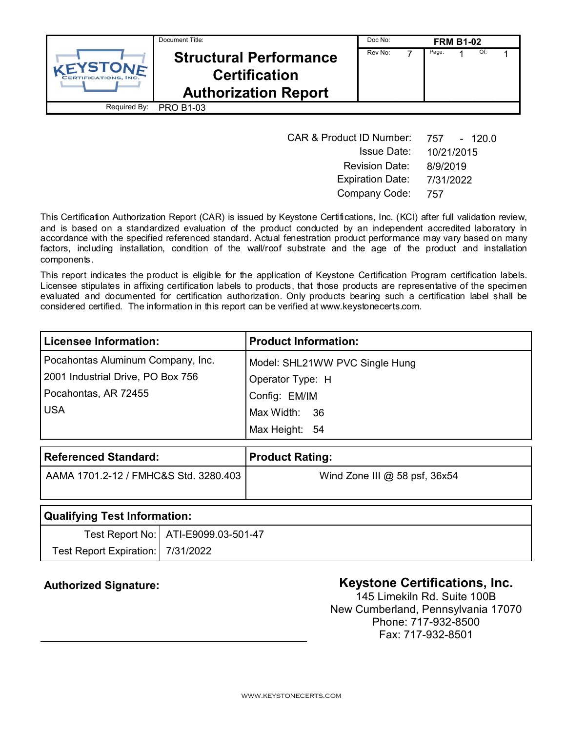| Document Title:                       |                                                                                      | Doc No: | <b>FRM B1-02</b> |       |  |     |  |
|---------------------------------------|--------------------------------------------------------------------------------------|---------|------------------|-------|--|-----|--|
| VEYSTONE<br><b>RTIFICATIONS, INC.</b> | <b>Structural Performance</b><br><b>Certification</b><br><b>Authorization Report</b> | Rev No: |                  | Page: |  | Of: |  |
| Required By:                          | <b>PRO B1-03</b>                                                                     |         |                  |       |  |     |  |

| <b>CAR &amp; Product ID Number:</b> | 757 - 120.0 |
|-------------------------------------|-------------|
| Issue Date: .                       | 10/21/2015  |
| <b>Revision Date:</b>               | 8/9/2019    |
| <b>Expiration Date:</b>             | 7/31/2022   |
| Company Code:                       | -757        |

This Certification Authorization Report (CAR) is issued by Keystone Certifications, Inc. (KCI) after full validation review, and is based on a standardized evaluation of the product conducted by an independent accredited laboratory in accordance with the specified referenced standard. Actual fenestration product performance may vary based on many factors, including installation, condition of the wall/roof substrate and the age of the product and installation components.

This report indicates the product is eligible for the application of Keystone Certification Program certification labels. Licensee stipulates in affixing certification labels to products, that those products are representative of the specimen evaluated and documented for certification authorization. Only products bearing such a certification label shall be considered certified. The information in this report can be verified at www.keystonecerts.com.

| <b>Licensee Information:</b>      | <b>Product Information:</b>    |
|-----------------------------------|--------------------------------|
| Pocahontas Aluminum Company, Inc. | Model: SHL21WW PVC Single Hung |
| 2001 Industrial Drive, PO Box 756 | Operator Type: H               |
| Pocahontas, AR 72455              | Config: EM/IM                  |
| <b>USA</b>                        | Max Width: 36                  |
|                                   | Max Height: 54                 |

| <b>Referenced Standard:</b>           | <b>Product Rating:</b>          |
|---------------------------------------|---------------------------------|
| AAMA 1701.2-12 / FMHC&S Std. 3280.403 | Wind Zone III $@$ 58 psf, 36x54 |
|                                       |                                 |

| Qualifying Test Information:        |                                       |  |
|-------------------------------------|---------------------------------------|--|
|                                     | Test Report No:   ATI-E9099.03-501-47 |  |
| Test Report Expiration:   7/31/2022 |                                       |  |

# Authorized Signature: **Authorized Signature: Keystone Certifications, Inc.**

145 Limekiln Rd. Suite 100B New Cumberland, Pennsylvania 17070 Phone: 717-932-8500 Fax: 717-932-8501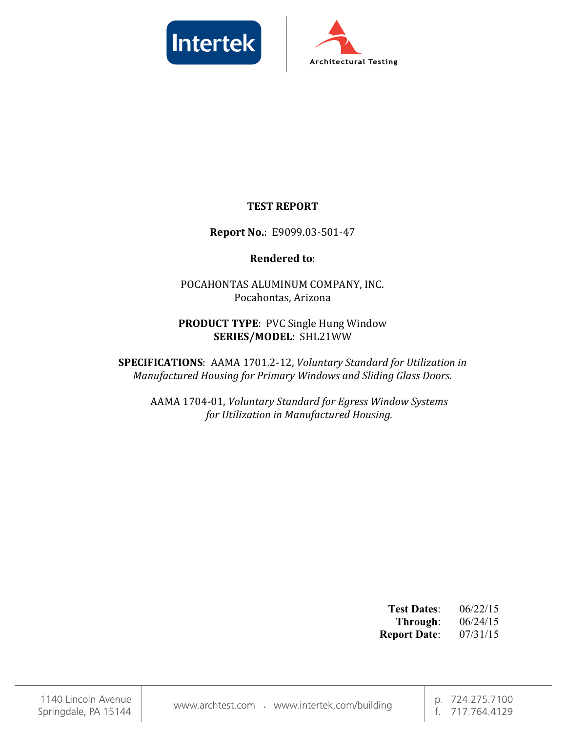



## TEST REPORT

## Report No.: E9099.03-501-47

## Rendered to:

POCAHONTAS ALUMINUM COMPANY, INC. Pocahontas, Arizona

## PRODUCT TYPE: PVC Single Hung Window SERIES/MODEL: SHL21WW

SPECIFICATIONS: AAMA 1701.2-12, Voluntary Standard for Utilization in Manufactured Housing for Primary Windows and Sliding Glass Doors.

AAMA 1704-01, Voluntary Standard for Egress Window Systems for Utilization in Manufactured Housing.

| <b>Test Dates:</b>  | 06/22/15 |
|---------------------|----------|
| Through:            | 06/24/15 |
| <b>Report Date:</b> | 07/31/15 |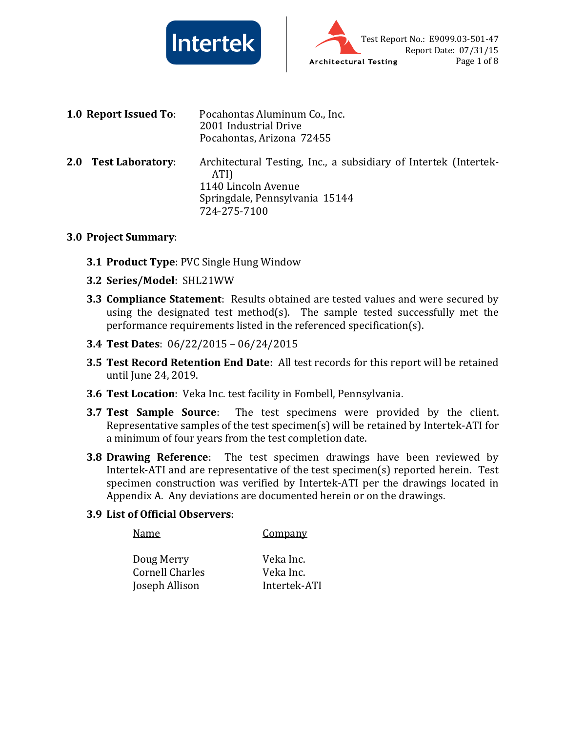



|     | <b>1.0 Report Issued To:</b> | Pocahontas Aluminum Co., Inc.<br>2001 Industrial Drive<br>Pocahontas, Arizona 72455                                                               |
|-----|------------------------------|---------------------------------------------------------------------------------------------------------------------------------------------------|
| 2.0 | <b>Test Laboratory:</b>      | Architectural Testing, Inc., a subsidiary of Intertek (Intertek-<br>ATI)<br>1140 Lincoln Avenue<br>Springdale, Pennsylvania 15144<br>724-275-7100 |

#### 3.0 Project Summary:

- **3.1 Product Type: PVC Single Hung Window**
- 3.2 Series/Model: SHL21WW
- **3.3 Compliance Statement**: Results obtained are tested values and were secured by using the designated test method(s). The sample tested successfully met the performance requirements listed in the referenced specification(s).
- 3.4 Test Dates: 06/22/2015 06/24/2015
- 3.5 Test Record Retention End Date: All test records for this report will be retained until June 24, 2019.
- 3.6 Test Location: Veka Inc. test facility in Fombell, Pennsylvania.
- **3.7 Test Sample Source**: The test specimens were provided by the client. Representative samples of the test specimen(s) will be retained by Intertek-ATI for a minimum of four years from the test completion date.
- 3.8 Drawing Reference: The test specimen drawings have been reviewed by Intertek-ATI and are representative of the test specimen(s) reported herein. Test specimen construction was verified by Intertek-ATI per the drawings located in Appendix A. Any deviations are documented herein or on the drawings.

## 3.9 List of Official Observers:

| Name            | <b>Company</b> |
|-----------------|----------------|
| Doug Merry      | Veka Inc.      |
| Cornell Charles | Veka Inc.      |
| Joseph Allison  | Intertek-ATI   |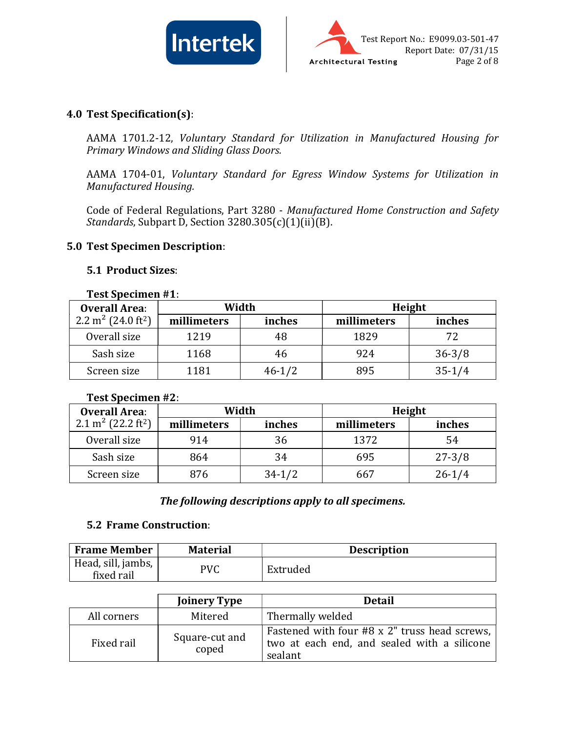



### 4.0 Test Specification(s):

AAMA 1701.2-12, Voluntary Standard for Utilization in Manufactured Housing for Primary Windows and Sliding Glass Doors.

AAMA 1704-01, Voluntary Standard for Egress Window Systems for Utilization in Manufactured Housing.

Code of Federal Regulations, Part 3280 - Manufactured Home Construction and Safety Standards, Subpart D, Section 3280.305(c)(1)(ii)(B).

#### 5.0 Test Specimen Description:

#### 5.1 Product Sizes:

#### Test Specimen #1:

| <b>Overall Area:</b>                       | Width       |            | Height      |            |
|--------------------------------------------|-------------|------------|-------------|------------|
| 2.2 m <sup>2</sup> (24.0 ft <sup>2</sup> ) | millimeters | inches     | millimeters | inches     |
| Overall size                               | 1219        |            | 1829        | 72         |
| Sash size                                  | 1168        | 46         | 924         | $36 - 3/8$ |
| Screen size                                | 1181        | $46 - 1/2$ | 895         | $35 - 1/4$ |

#### Test Specimen #2:

| <b>Overall Area:</b>                       | Width       |            | Height      |            |
|--------------------------------------------|-------------|------------|-------------|------------|
| 2.1 m <sup>2</sup> (22.2 ft <sup>2</sup> ) | millimeters | inches     | millimeters | inches     |
| Overall size                               | 914         | 36         | 1372        | 54         |
| Sash size                                  | 864         | 34         | 695         | $27 - 3/8$ |
| Screen size                                | 876         | $34 - 1/2$ | 667         | $26 - 1/4$ |

#### The following descriptions apply to all specimens.

#### 5.2 Frame Construction:

| <b>Frame Member</b>              | <b>Material</b> | <b>Description</b> |
|----------------------------------|-----------------|--------------------|
| Head, sill, jambs,<br>fixed rail | PVC             | Extruded           |

|             | <b>Joinery Type</b>     | <b>Detail</b>                                                                                           |
|-------------|-------------------------|---------------------------------------------------------------------------------------------------------|
| All corners | Mitered                 | Thermally welded                                                                                        |
| Fixed rail  | Square-cut and<br>coped | Fastened with four #8 x 2" truss head screws,<br>two at each end, and sealed with a silicone<br>sealant |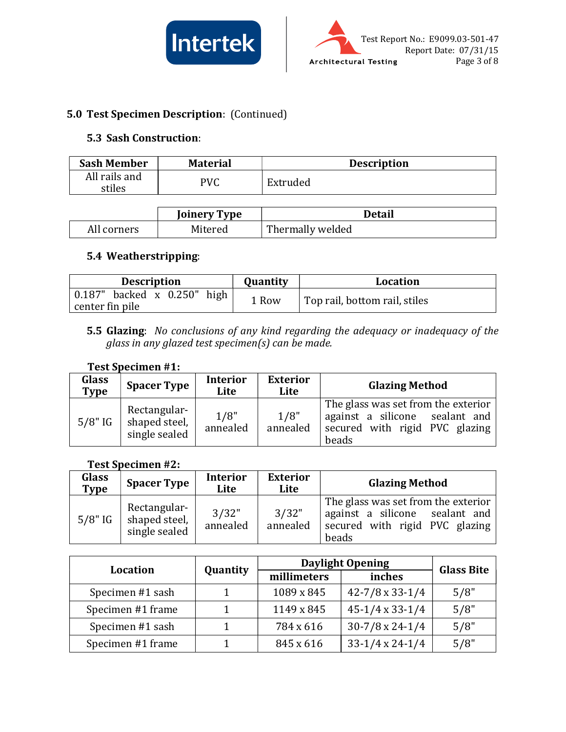



## 5.0 Test Specimen Description: (Continued)

### 5.3 Sash Construction:

| <b>Sash Member</b>      | <b>Material</b> | <b>Description</b> |
|-------------------------|-----------------|--------------------|
| All rails and<br>stiles | PVC             | Extruded           |

|             | Joinery Type | Detail           |
|-------------|--------------|------------------|
| All corners | Mitered      | Thermally welded |

## 5.4 Weatherstripping:

| <b>Description</b>                                    | <b>Quantity</b> | Location                      |
|-------------------------------------------------------|-----------------|-------------------------------|
| $\vert 0.187 \vert$ backed x $\vert 0.250 \vert$ high | 1 Row           | Top rail, bottom rail, stiles |
| center fin pile                                       |                 |                               |

5.5 Glazing: No conclusions of any kind regarding the adequacy or inadequacy of the glass in any glazed test specimen(s) can be made.

#### Test Specimen #1:

| Glass<br><b>Type</b> | <b>Spacer Type</b>                             | <b>Interior</b><br>Lite | <b>Exterior</b><br>Lite | <b>Glazing Method</b>                                                                                            |
|----------------------|------------------------------------------------|-------------------------|-------------------------|------------------------------------------------------------------------------------------------------------------|
| $5/8"$ IG            | Rectangular-<br>shaped steel,<br>single sealed | 1/8"<br>annealed        | 1/8"<br>annealed        | The glass was set from the exterior<br>against a silicone sealant and<br>secured with rigid PVC glazing<br>beads |

#### Test Specimen #2:

| Glass<br>Type | <b>Spacer Type</b>                             | <b>Interior</b><br>Lite | <b>Exterior</b><br>Lite | <b>Glazing Method</b>                                                                                            |
|---------------|------------------------------------------------|-------------------------|-------------------------|------------------------------------------------------------------------------------------------------------------|
| $5/8"$ IG     | Rectangular-<br>shaped steel,<br>single sealed | 3/32"<br>annealed       | 3/32"<br>annealed       | The glass was set from the exterior<br>against a silicone sealant and<br>secured with rigid PVC glazing<br>beads |

| <b>Location</b>   |          |             | <b>Daylight Opening</b>    |                   |  |
|-------------------|----------|-------------|----------------------------|-------------------|--|
|                   | Quantity | millimeters | inches                     | <b>Glass Bite</b> |  |
| Specimen #1 sash  |          | 1089 x 845  | $42 - 7/8 \times 33 - 1/4$ | 5/8"              |  |
| Specimen #1 frame |          | 1149 x 845  | $45-1/4 \times 33-1/4$     | 5/8"              |  |
| Specimen #1 sash  |          | 784 x 616   | $30-7/8 \times 24-1/4$     | 5/8"              |  |
| Specimen #1 frame |          | 845 x 616   | $33-1/4 \times 24-1/4$     | 5/8"              |  |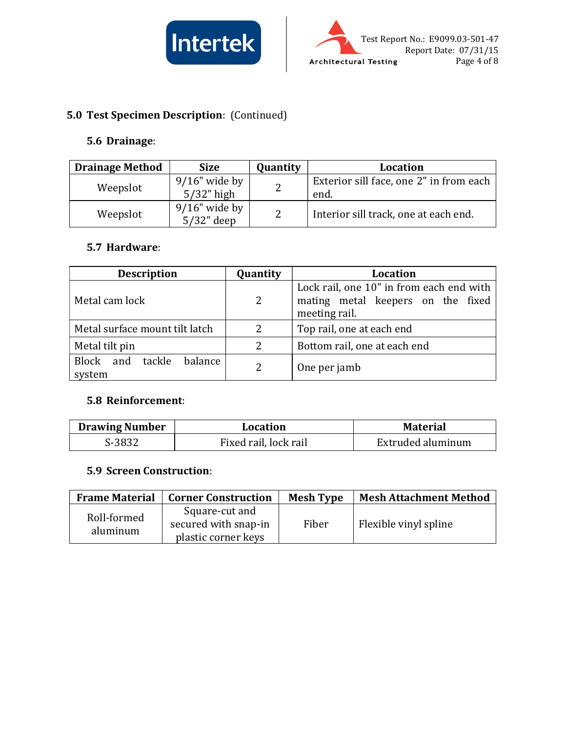



# 5.0 Test Specimen Description: (Continued)

## 5.6 Drainage:

| <b>Drainage Method</b> | <b>Size</b>                       | Quantity | Location                                        |
|------------------------|-----------------------------------|----------|-------------------------------------------------|
| Weepslot               | $9/16$ " wide by<br>$5/32$ " high | າ        | Exterior sill face, one 2" in from each<br>end. |
| Weepslot               | $9/16$ " wide by<br>$5/32$ " deep | 2        | Interior sill track, one at each end.           |

#### 5.7 Hardware:

| <b>Description</b>                    | Quantity       | Location                                                                                       |  |
|---------------------------------------|----------------|------------------------------------------------------------------------------------------------|--|
| Metal cam lock                        | 2              | Lock rail, one 10" in from each end with<br>mating metal keepers on the fixed<br>meeting rail. |  |
| Metal surface mount tilt latch        | $\mathcal{P}$  | Top rail, one at each end                                                                      |  |
| Metal tilt pin                        | 2              | Bottom rail, one at each end                                                                   |  |
| balance<br>Block and tackle<br>system | $\overline{2}$ | One per jamb                                                                                   |  |

## 5.8 Reinforcement:

| <b>Drawing Number</b> | Location              | <b>Material</b>   |
|-----------------------|-----------------------|-------------------|
| S-3832                | Fixed rail, lock rail | Extruded aluminum |

## 5.9 Screen Construction:

| <b>Frame Material</b>   | <b>Corner Construction</b>                                    | <b>Mesh Type</b> | <b>Mesh Attachment Method</b> |
|-------------------------|---------------------------------------------------------------|------------------|-------------------------------|
| Roll-formed<br>aluminum | Square-cut and<br>secured with snap-in<br>plastic corner keys | Fiber            | Flexible vinyl spline         |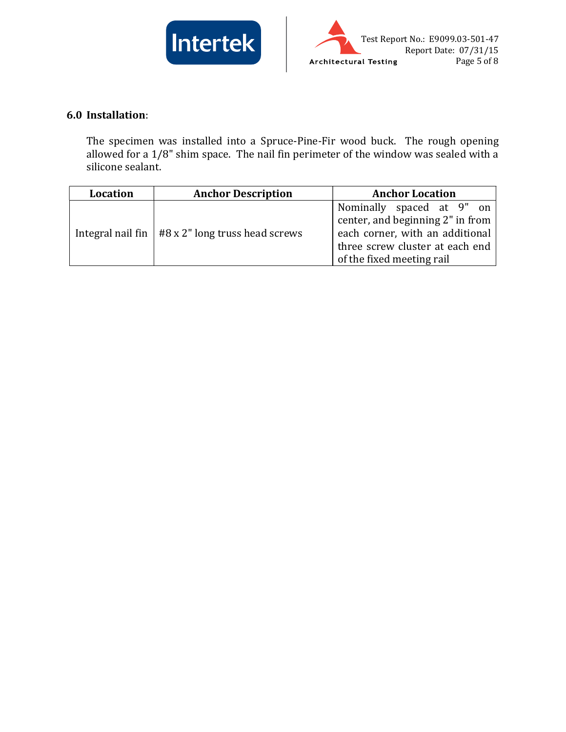



## 6.0 Installation:

The specimen was installed into a Spruce-Pine-Fir wood buck. The rough opening allowed for a 1/8" shim space. The nail fin perimeter of the window was sealed with a silicone sealant.

| Location | <b>Anchor Description</b>                            | <b>Anchor Location</b>                                                                                                                                           |
|----------|------------------------------------------------------|------------------------------------------------------------------------------------------------------------------------------------------------------------------|
|          | Integral nail fin $ $ #8 x 2" long truss head screws | Nominally spaced at 9" on<br>center, and beginning 2" in from<br>each corner, with an additional<br>three screw cluster at each end<br>of the fixed meeting rail |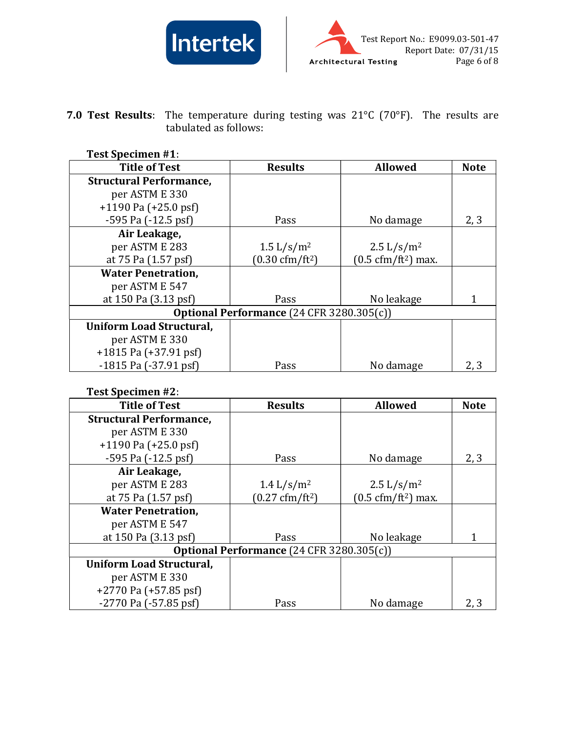



7.0 Test Results: The temperature during testing was  $21^{\circ}$ C (70°F). The results are tabulated as follows:

## Test Specimen #1:

| <b>Title of Test</b>                             | <b>Results</b>                              | <b>Allowed</b>                              | <b>Note</b> |
|--------------------------------------------------|---------------------------------------------|---------------------------------------------|-------------|
| <b>Structural Performance,</b>                   |                                             |                                             |             |
| per ASTM E 330                                   |                                             |                                             |             |
| $+1190$ Pa $(+25.0$ psf)                         |                                             |                                             |             |
| $-595$ Pa $(-12.5$ psf                           | Pass                                        | No damage                                   | 2, 3        |
| Air Leakage,                                     |                                             |                                             |             |
| per ASTM E 283                                   | $1.5 \frac{\text{L}}{\text{s}} \text{/m}^2$ | $2.5 \frac{\text{L}}{\text{s}} \text{/m}^2$ |             |
| at 75 Pa (1.57 psf)                              | $(0.30 \text{ cfm}/\text{ft}^2)$            | $(0.5 \text{ cfm}/\text{ft}^2)$ max.        |             |
| <b>Water Penetration,</b>                        |                                             |                                             |             |
| per ASTM E 547                                   |                                             |                                             |             |
| at 150 Pa (3.13 psf)                             | Pass                                        | No leakage                                  |             |
| <b>Optional Performance (24 CFR 3280.305(c))</b> |                                             |                                             |             |
| <b>Uniform Load Structural,</b>                  |                                             |                                             |             |
| per ASTM E 330                                   |                                             |                                             |             |
| $+1815$ Pa $(+37.91$ psf)                        |                                             |                                             |             |
| $-1815$ Pa $(-37.91$ psf)                        | Pass                                        | No damage                                   | 2, 3        |

### Test Specimen #2:

| <b>Title of Test</b>                      | <b>Results</b>                   | <b>Allowed</b>                              | <b>Note</b> |
|-------------------------------------------|----------------------------------|---------------------------------------------|-------------|
| <b>Structural Performance,</b>            |                                  |                                             |             |
| per ASTM E 330                            |                                  |                                             |             |
| $+1190$ Pa $(+25.0$ psf)                  |                                  |                                             |             |
| $-595$ Pa $(-12.5$ psf                    | Pass                             | No damage                                   | 2, 3        |
| Air Leakage,                              |                                  |                                             |             |
| per ASTM E 283                            | $1.4 \frac{L}{s/m^2}$            | $2.5 \frac{\text{L}}{\text{s}} \text{/m}^2$ |             |
| at 75 Pa (1.57 psf)                       | $(0.27 \text{ cfm}/\text{ft}^2)$ | $(0.5 \text{ cfm}/\text{ft}^2)$ max.        |             |
| <b>Water Penetration,</b>                 |                                  |                                             |             |
| per ASTM E 547                            |                                  |                                             |             |
| at 150 Pa (3.13 psf)                      | Pass                             | No leakage                                  |             |
| Optional Performance (24 CFR 3280.305(c)) |                                  |                                             |             |
| Uniform Load Structural,                  |                                  |                                             |             |
| per ASTM E 330                            |                                  |                                             |             |
| $+2770$ Pa $(+57.85$ psf)                 |                                  |                                             |             |
| $-2770$ Pa $(-57.85$ psf)                 | Pass                             | No damage                                   | 2, 3        |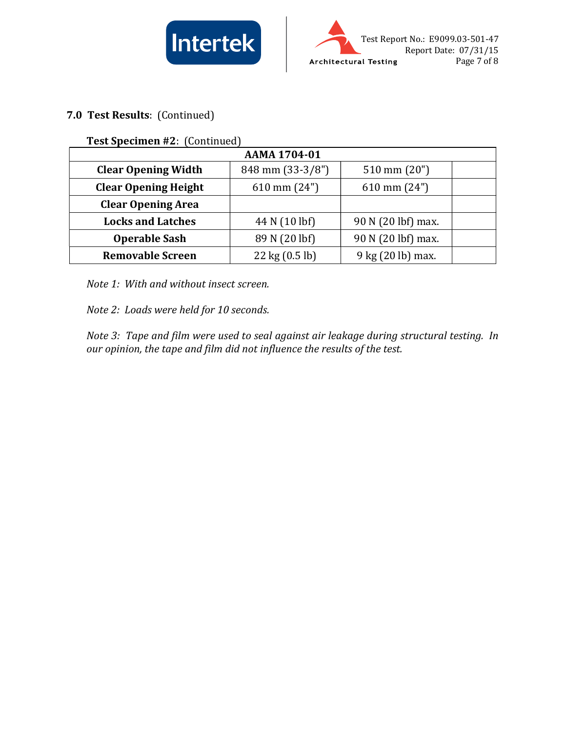



## 7.0 Test Results: (Continued)

Test Specimen #2: (Continued)

| AAMA 1704-01                |                                  |                        |  |
|-----------------------------|----------------------------------|------------------------|--|
| <b>Clear Opening Width</b>  | 848 mm (33-3/8")                 | $510 \text{ mm} (20")$ |  |
| <b>Clear Opening Height</b> | $610 \text{ mm} (24")$           | $610 \text{ mm} (24")$ |  |
| <b>Clear Opening Area</b>   |                                  |                        |  |
| <b>Locks and Latches</b>    | 44 N (10 lbf)                    | 90 N (20 lbf) max.     |  |
| <b>Operable Sash</b>        | 89 N (20 lbf)                    | 90 N (20 lbf) max.     |  |
| <b>Removable Screen</b>     | $22 \text{ kg} (0.5 \text{ lb})$ | 9 kg (20 lb) max.      |  |

Note 1: With and without insect screen.

Note 2: Loads were held for 10 seconds.

Note 3: Tape and film were used to seal against air leakage during structural testing. In our opinion, the tape and film did not influence the results of the test.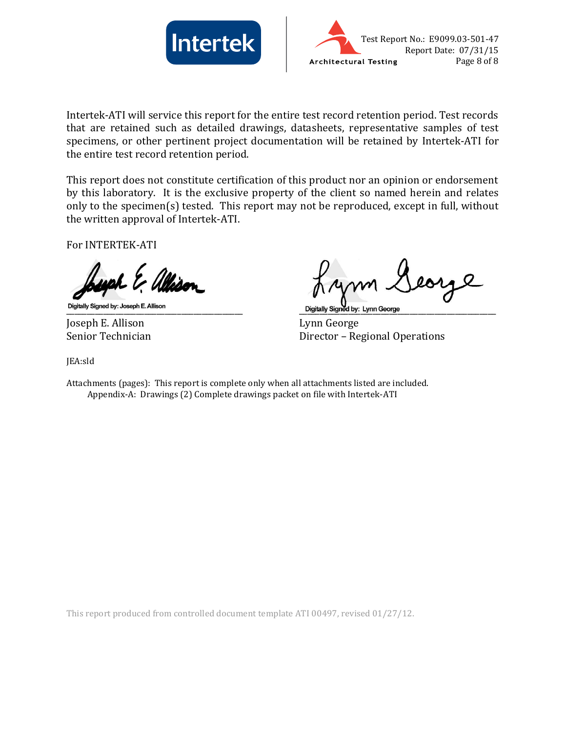



Intertek-ATI will service this report for the entire test record retention period. Test records that are retained such as detailed drawings, datasheets, representative samples of test specimens, or other pertinent project documentation will be retained by Intertek-ATI for the entire test record retention period.

This report does not constitute certification of this product nor an opinion or endorsement by this laboratory. It is the exclusive property of the client so named herein and relates only to the specimen(s) tested. This report may not be reproduced, except in full, without the written approval of Intertek-ATI.

For INTERTEK-ATI

Digitally Signed by: Joseph E. Allison **Example 2 and Secure 2 and Secure 2 and Secure 2** by: Lynn George

Joseph E. Allison Lynn George

Senior Technician Director – Regional Operations

JEA:sld

Attachments (pages): This report is complete only when all attachments listed are included. Appendix-A: Drawings (2) Complete drawings packet on file with Intertek-ATI

This report produced from controlled document template ATI 00497, revised 01/27/12.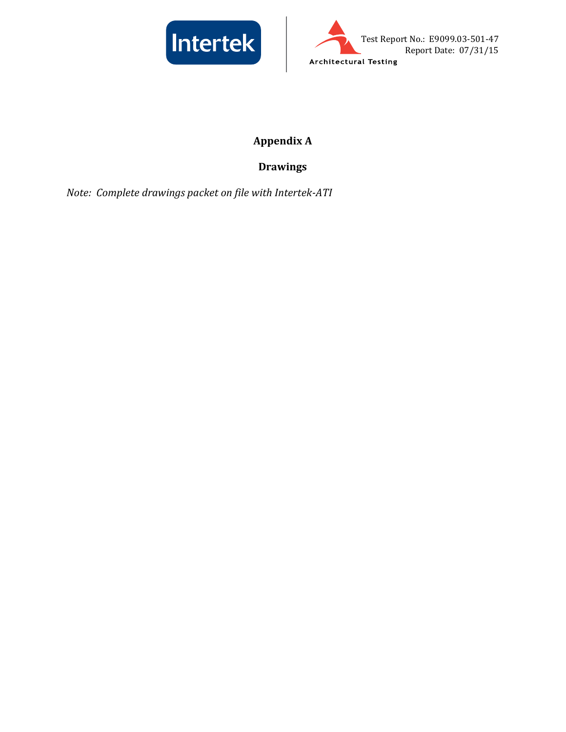



# Appendix A

# Drawings

Note: Complete drawings packet on file with Intertek-ATI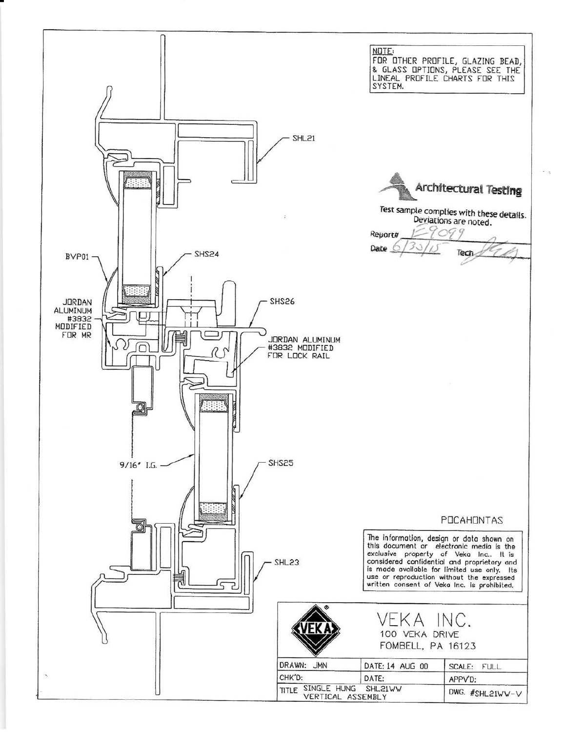